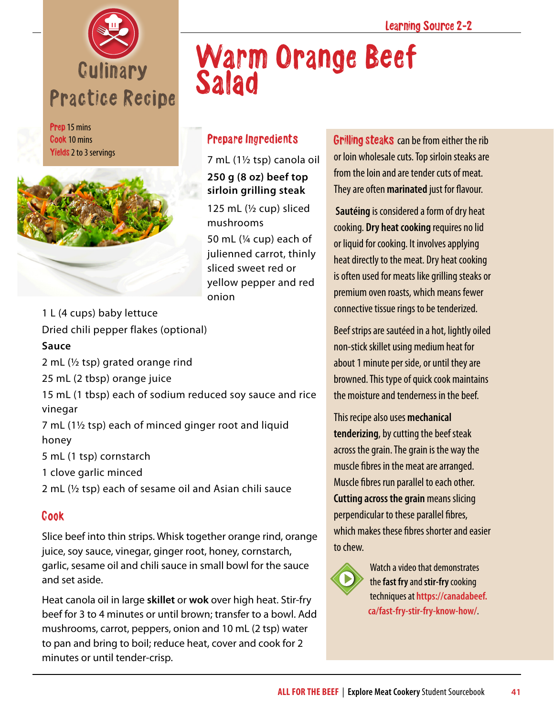

Prep 15 mins Cook 10 mins Yields 2 to 3 servings



# Warm Orange Beef Salad

## Prepare Ingredients

7 mL (1½ tsp) canola oil **250 g (8 oz) beef top sirloin grilling steak**

125 mL  $(\frac{1}{2}$  cup) sliced mushrooms 50 mL (¼ cup) each of julienned carrot, thinly sliced sweet red or yellow pepper and red onion

1 L (4 cups) baby lettuce Dried chili pepper flakes (optional)

#### **Sauce**

2 mL (½ tsp) grated orange rind

25 mL (2 tbsp) orange juice

15 mL (1 tbsp) each of sodium reduced soy sauce and rice vinegar

7 mL (1½ tsp) each of minced ginger root and liquid honey

5 mL (1 tsp) cornstarch

1 clove garlic minced

2 mL (½ tsp) each of sesame oil and Asian chili sauce

### Cook

Slice beef into thin strips. Whisk together orange rind, orange juice, soy sauce, vinegar, ginger root, honey, cornstarch, garlic, sesame oil and chili sauce in small bowl for the sauce and set aside.

Heat canola oil in large **skillet** or **wok** over high heat. Stir-fry beef for 3 to 4 minutes or until brown; transfer to a bowl. Add mushrooms, carrot, peppers, onion and 10 mL (2 tsp) water to pan and bring to boil; reduce heat, cover and cook for 2 minutes or until tender-crisp.

Grilling steaks can be from either the rib or loin wholesale cuts. Top sirloin steaks are from the loin and are tender cuts of meat. They are often **marinated** just for flavour.

**Sautéing** is considered a form of dry heat cooking. **Dry heat cooking** requires no lid or liquid for cooking. It involves applying heat directly to the meat. Dry heat cooking is often used for meats like grilling steaks or premium oven roasts, which means fewer connective tissue rings to be tenderized.

Beef strips are sautéed in a hot, lightly oiled non-stick skillet using medium heat for about 1 minute per side, or until they are browned. This type of quick cook maintains the moisture and tenderness in the beef.

This recipe also uses **mechanical tenderizing**, by cutting the beef steak across the grain. The grain is the way the muscle fibres in the meat are arranged. Muscle fibres run parallel to each other. **Cutting across the grain** means slicing perpendicular to these parallel fibres, which makes these fibres shorter and easier to chew.



Watch a video that demonstrates the **fast fry** and **stir-fry** cooking techniques at **[https://canadabeef.](https://canadabeef.ca/fast-fry-stir-fry-know-how/) [ca/fast-fry-stir-fry-know-how/](https://canadabeef.ca/fast-fry-stir-fry-know-how/)**.